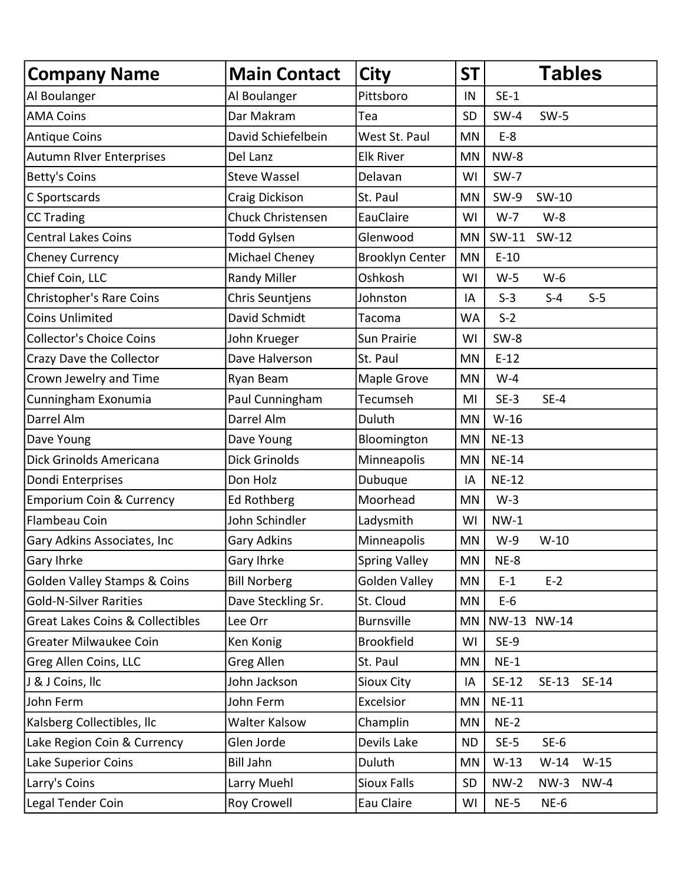| <b>Company Name</b>                         | <b>Main Contact</b> | <b>City</b>            | <b>ST</b> |              | <b>Tables</b> |        |  |
|---------------------------------------------|---------------------|------------------------|-----------|--------------|---------------|--------|--|
| Al Boulanger                                | Al Boulanger        | Pittsboro              | IN        | $SE-1$       |               |        |  |
| <b>AMA Coins</b>                            | Dar Makram          | Tea                    | <b>SD</b> | $SW-4$       | $SW-5$        |        |  |
| <b>Antique Coins</b>                        | David Schiefelbein  | West St. Paul          | MN        | $E-8$        |               |        |  |
| <b>Autumn River Enterprises</b>             | Del Lanz            | <b>Elk River</b>       | MN        | <b>NW-8</b>  |               |        |  |
| <b>Betty's Coins</b>                        | <b>Steve Wassel</b> | Delavan                | WI        | $SW-7$       |               |        |  |
| C Sportscards                               | Craig Dickison      | St. Paul               | MN        | $SW-9$       | SW-10         |        |  |
| <b>CC Trading</b>                           | Chuck Christensen   | EauClaire              | WI        | $W-7$        | $W-8$         |        |  |
| <b>Central Lakes Coins</b>                  | Todd Gylsen         | Glenwood               | MN        | SW-11        | SW-12         |        |  |
| <b>Cheney Currency</b>                      | Michael Cheney      | <b>Brooklyn Center</b> | MN        | $E-10$       |               |        |  |
| Chief Coin, LLC                             | <b>Randy Miller</b> | Oshkosh                | WI        | $W-5$        | $W-6$         |        |  |
| <b>Christopher's Rare Coins</b>             | Chris Seuntjens     | Johnston               | IA        | $S-3$        | $S-4$         | $S-5$  |  |
| <b>Coins Unlimited</b>                      | David Schmidt       | Tacoma                 | <b>WA</b> | $S-2$        |               |        |  |
| <b>Collector's Choice Coins</b>             | John Krueger        | Sun Prairie            | WI        | $SW-8$       |               |        |  |
| Crazy Dave the Collector                    | Dave Halverson      | St. Paul               | MN        | $E-12$       |               |        |  |
| Crown Jewelry and Time                      | Ryan Beam           | Maple Grove            | MN        | $W-4$        |               |        |  |
| Cunningham Exonumia                         | Paul Cunningham     | Tecumseh               | MI        | $SE-3$       | $SE-4$        |        |  |
| Darrel Alm                                  | Darrel Alm          | Duluth                 | <b>MN</b> | $W-16$       |               |        |  |
| Dave Young                                  | Dave Young          | Bloomington            | MN        | <b>NE-13</b> |               |        |  |
| Dick Grinolds Americana                     | Dick Grinolds       | Minneapolis            | MN        | <b>NE-14</b> |               |        |  |
| Dondi Enterprises                           | Don Holz            | Dubuque                | IA        | <b>NE-12</b> |               |        |  |
| <b>Emporium Coin &amp; Currency</b>         | <b>Ed Rothberg</b>  | Moorhead               | MN        | $W-3$        |               |        |  |
| Flambeau Coin                               | John Schindler      | Ladysmith              | WI        | $NW-1$       |               |        |  |
| Gary Adkins Associates, Inc                 | Gary Adkins         | Minneapolis            | MN        | $W-9$        | $W-10$        |        |  |
| Gary Ihrke                                  | Gary Ihrke          | <b>Spring Valley</b>   | MN        | $NE-8$       |               |        |  |
| <b>Golden Valley Stamps &amp; Coins</b>     | <b>Bill Norberg</b> | <b>Golden Valley</b>   | MN        | $E-1$        | $E-2$         |        |  |
| <b>Gold-N-Silver Rarities</b>               | Dave Steckling Sr.  | St. Cloud              | MN        | $E-6$        |               |        |  |
| <b>Great Lakes Coins &amp; Collectibles</b> | Lee Orr             | <b>Burnsville</b>      | MN        |              | NW-13 NW-14   |        |  |
| <b>Greater Milwaukee Coin</b>               | Ken Konig           | <b>Brookfield</b>      | WI        | $SE-9$       |               |        |  |
| Greg Allen Coins, LLC                       | Greg Allen          | St. Paul               | MN        | $NE-1$       |               |        |  |
| J & J Coins, Ilc                            | John Jackson        | Sioux City             | IA        | SE-12        | SE-13 SE-14   |        |  |
| John Ferm                                   | John Ferm           | Excelsior              | MN        | <b>NE-11</b> |               |        |  |
| Kalsberg Collectibles, Ilc                  | Walter Kalsow       | Champlin               | MN        | $NE-2$       |               |        |  |
| Lake Region Coin & Currency                 | Glen Jorde          | Devils Lake            | <b>ND</b> | $SE-5$       | $SE-6$        |        |  |
| Lake Superior Coins                         | <b>Bill Jahn</b>    | Duluth                 | ΜN        | $W-13$       | $W-14$        | $W-15$ |  |
| Larry's Coins                               | Larry Muehl         | <b>Sioux Falls</b>     | SD        | $NW-2$       | $NW-3$        | $NW-4$ |  |
| Legal Tender Coin                           | Roy Crowell         | Eau Claire             | WI        | $NE-5$       | $NE-6$        |        |  |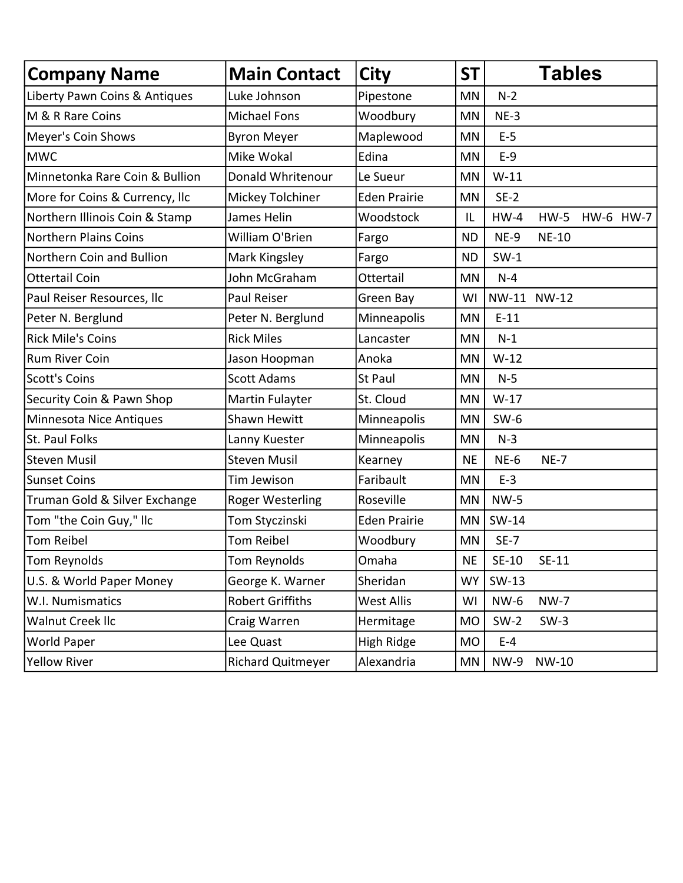| <b>Company Name</b>            | <b>Main Contact</b>      | <b>City</b>         | <b>ST</b> | <b>Tables</b> |              |  |           |
|--------------------------------|--------------------------|---------------------|-----------|---------------|--------------|--|-----------|
| Liberty Pawn Coins & Antiques  | Luke Johnson             | Pipestone           | MN        | $N-2$         |              |  |           |
| M & R Rare Coins               | <b>Michael Fons</b>      | Woodbury            | <b>MN</b> | $NE-3$        |              |  |           |
| Meyer's Coin Shows             | <b>Byron Meyer</b>       | Maplewood           | MN        | $E-5$         |              |  |           |
| <b>MWC</b>                     | Mike Wokal               | Edina               | MN        | $E-9$         |              |  |           |
| Minnetonka Rare Coin & Bullion | Donald Whritenour        | Le Sueur            | <b>MN</b> | $W-11$        |              |  |           |
| More for Coins & Currency, Ilc | Mickey Tolchiner         | <b>Eden Prairie</b> | <b>MN</b> | $SE-2$        |              |  |           |
| Northern Illinois Coin & Stamp | James Helin              | Woodstock           | IL        | $HW-4$        | $HW-5$       |  | HW-6 HW-7 |
| Northern Plains Coins          | William O'Brien          | Fargo               | <b>ND</b> | NE-9          | <b>NE-10</b> |  |           |
| Northern Coin and Bullion      | Mark Kingsley            | Fargo               | <b>ND</b> | $SW-1$        |              |  |           |
| <b>Ottertail Coin</b>          | John McGraham            | Ottertail           | MN        | $N-4$         |              |  |           |
| Paul Reiser Resources, Ilc     | Paul Reiser              | Green Bay           | WI        |               | NW-11 NW-12  |  |           |
| Peter N. Berglund              | Peter N. Berglund        | Minneapolis         | MN        | $E-11$        |              |  |           |
| <b>Rick Mile's Coins</b>       | <b>Rick Miles</b>        | Lancaster           | MN        | $N-1$         |              |  |           |
| Rum River Coin                 | Jason Hoopman            | Anoka               | MN        | $W-12$        |              |  |           |
| <b>Scott's Coins</b>           | <b>Scott Adams</b>       | <b>St Paul</b>      | MN        | $N-5$         |              |  |           |
| Security Coin & Pawn Shop      | Martin Fulayter          | St. Cloud           | <b>MN</b> | $W-17$        |              |  |           |
| Minnesota Nice Antiques        | <b>Shawn Hewitt</b>      | Minneapolis         | MN        | $SW-6$        |              |  |           |
| St. Paul Folks                 | Lanny Kuester            | Minneapolis         | MN        | $N-3$         |              |  |           |
| <b>Steven Musil</b>            | <b>Steven Musil</b>      | Kearney             | <b>NE</b> | $NE-6$        | $NE-7$       |  |           |
| <b>Sunset Coins</b>            | Tim Jewison              | Faribault           | <b>MN</b> | $E-3$         |              |  |           |
| Truman Gold & Silver Exchange  | <b>Roger Westerling</b>  | Roseville           | <b>MN</b> | <b>NW-5</b>   |              |  |           |
| Tom "the Coin Guy," Ilc        | Tom Styczinski           | <b>Eden Prairie</b> | <b>MN</b> | SW-14         |              |  |           |
| Tom Reibel                     | <b>Tom Reibel</b>        | Woodbury            | MN        | $SE-7$        |              |  |           |
| Tom Reynolds                   | Tom Reynolds             | Omaha               | <b>NE</b> | $SE-10$       | $SE-11$      |  |           |
| U.S. & World Paper Money       | George K. Warner         | Sheridan            | <b>WY</b> | SW-13         |              |  |           |
| W.I. Numismatics               | <b>Robert Griffiths</b>  | <b>West Allis</b>   | WI        | NW-6          | <b>NW-7</b>  |  |           |
| Walnut Creek IIc               | Craig Warren             | Hermitage           | <b>MO</b> | $SW-2$        | $SW-3$       |  |           |
| World Paper                    | Lee Quast                | High Ridge          | <b>MO</b> | $E-4$         |              |  |           |
| <b>Yellow River</b>            | <b>Richard Quitmeyer</b> | Alexandria          | ΜN        | <b>NW-9</b>   | NW-10        |  |           |